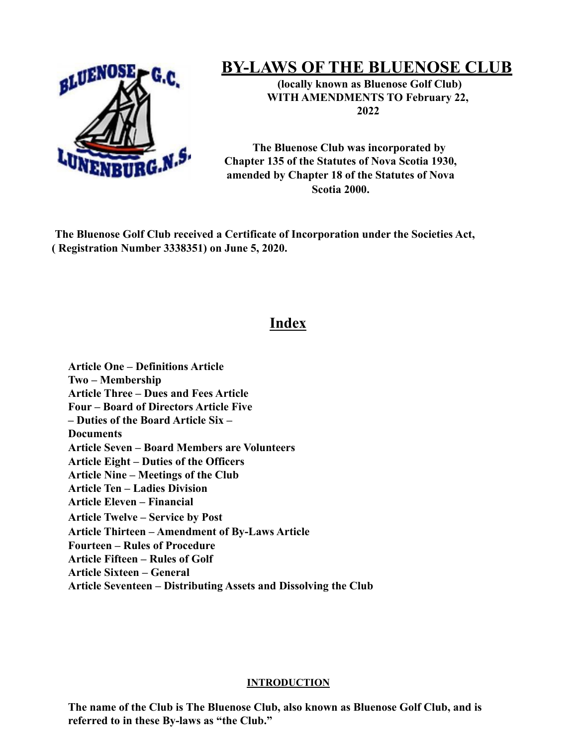

# **BY-LAWS OF THE BLUENOSE CLUB**

**(locally known as Bluenose Golf Club) WITH AMENDMENTS TO February 22, 2022**

**The Bluenose Club was incorporated by Chapter 135 of the Statutes of Nova Scotia 1930, amended by Chapter 18 of the Statutes of Nova Scotia 2000.**

**The Bluenose Golf Club received a Certificate of Incorporation under the Societies Act, ( Registration Number 3338351) on June 5, 2020.**

# **Index**

**Article One – Definitions Article Two – Membership Article Three – Dues and Fees Article Four – Board of Directors Article Five – Duties of the Board Article Six – Documents Article Seven – Board Members are Volunteers Article Eight – Duties of the Officers Article Nine – Meetings of the Club Article Ten – Ladies Division Article Eleven – Financial Article Twelve – Service by Post Article Thirteen – Amendment of By-Laws Article Fourteen – Rules of Procedure Article Fifteen – Rules of Golf Article Sixteen – General Article Seventeen – Distributing Assets and Dissolving the Club**

# **INTRODUCTION**

**The name of the Club is The Bluenose Club, also known as Bluenose Golf Club, and is referred to in these By-laws as "the Club."**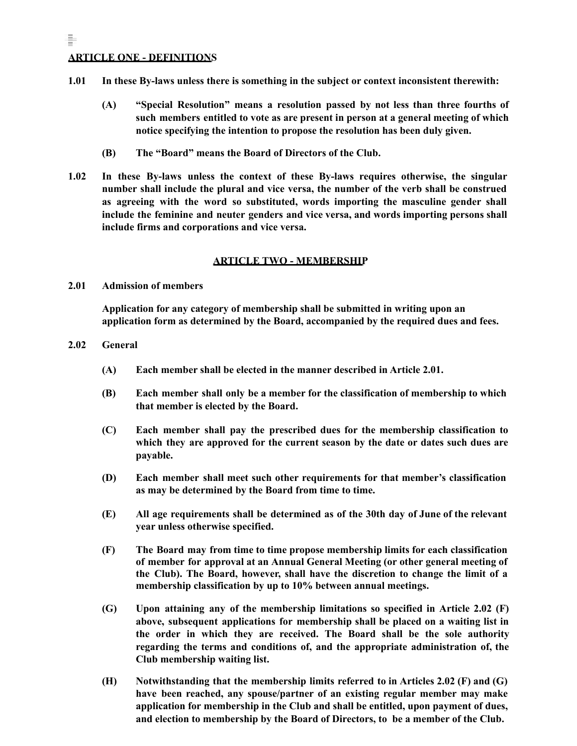# **ARTICLE ONE - DEFINITIONS**

÷.

- **1.01 In these By-laws unless there is something in the subject or context inconsistent therewith:**
	- **(A) "Special Resolution" means a resolution passed by not less than three fourths of such members entitled to vote as are present in person at a general meeting of which notice specifying the intention to propose the resolution has been duly given.**
	- **(B) The "Board" means the Board of Directors of the Club.**
- **1.02 In these By-laws unless the context of these By-laws requires otherwise, the singular number shall include the plural and vice versa, the number of the verb shall be construed as agreeing with the word so substituted, words importing the masculine gender shall include the feminine and neuter genders and vice versa, and words importing persons shall include firms and corporations and vice versa.**

#### **ARTICLE TWO - MEMBERSHIP**

**2.01 Admission of members**

**Application for any category of membership shall be submitted in writing upon an application form as determined by the Board, accompanied by the required dues and fees.**

- **2.02 General**
	- **(A) Each member shall be elected in the manner described in Article 2.01.**
	- **(B) Each member shall only be a member for the classification of membership to which that member is elected by the Board.**
	- **(C) Each member shall pay the prescribed dues for the membership classification to which they are approved for the current season by the date or dates such dues are payable.**
	- **(D) Each member shall meet such other requirements for that member's classification as may be determined by the Board from time to time.**
	- **(E) All age requirements shall be determined as of the 30th day of June of the relevant year unless otherwise specified.**
	- **(F) The Board may from time to time propose membership limits for each classification of member for approval at an Annual General Meeting (or other general meeting of the Club). The Board, however, shall have the discretion to change the limit of a membership classification by up to 10% between annual meetings.**
	- **(G) Upon attaining any of the membership limitations so specified in Article 2.02 (F) above, subsequent applications for membership shall be placed on a waiting list in the order in which they are received. The Board shall be the sole authority regarding the terms and conditions of, and the appropriate administration of, the Club membership waiting list.**
	- **(H) Notwithstanding that the membership limits referred to in Articles 2.02 (F) and (G) have been reached, any spouse/partner of an existing regular member may make application for membership in the Club and shall be entitled, upon payment of dues, and election to membership by the Board of Directors, to be a member of the Club.**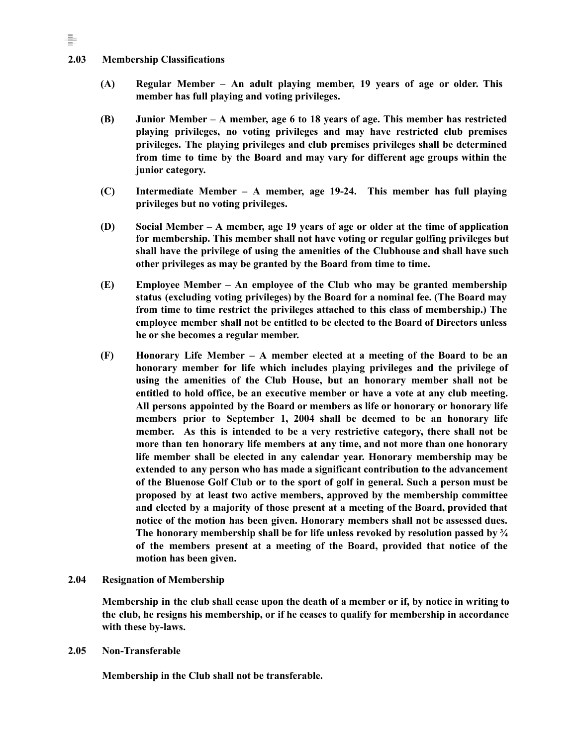#### **2.03 Membership Classifications**

- **(A) Regular Member – An adult playing member, 19 years of age or older. This member has full playing and voting privileges.**
- **(B) Junior Member – A member, age 6 to 18 years of age. This member has restricted playing privileges, no voting privileges and may have restricted club premises privileges. The playing privileges and club premises privileges shall be determined from time to time by the Board and may vary for different age groups within the junior category.**
- **(C) Intermediate Member – A member, age 19-24. This member has full playing privileges but no voting privileges.**
- **(D) Social Member – A member, age 19 years of age or older at the time of application for membership. This member shall not have voting or regular golfing privileges but shall have the privilege of using the amenities of the Clubhouse and shall have such other privileges as may be granted by the Board from time to time.**
- **(E) Employee Member – An employee of the Club who may be granted membership status (excluding voting privileges) by the Board for a nominal fee. (The Board may from time to time restrict the privileges attached to this class of membership.) The employee member shall not be entitled to be elected to the Board of Directors unless he or she becomes a regular member.**
- **(F) Honorary Life Member – A member elected at a meeting of the Board to be an honorary member for life which includes playing privileges and the privilege of using the amenities of the Club House, but an honorary member shall not be entitled to hold office, be an executive member or have a vote at any club meeting. All persons appointed by the Board or members as life or honorary or honorary life members prior to September 1, 2004 shall be deemed to be an honorary life member. As this is intended to be a very restrictive category, there shall not be more than ten honorary life members at any time, and not more than one honorary life member shall be elected in any calendar year. Honorary membership may be extended to any person who has made a significant contribution to the advancement of the Bluenose Golf Club or to the sport of golf in general. Such a person must be proposed by at least two active members, approved by the membership committee and elected by a majority of those present at a meeting of the Board, provided that notice of the motion has been given. Honorary members shall not be assessed dues. The honorary membership shall be for life unless revoked by resolution passed by ¾ of the members present at a meeting of the Board, provided that notice of the motion has been given.**

#### **2.04 Resignation of Membership**

Membership in the club shall cease upon the death of a member or if, by notice in writing to **the club, he resigns his membership, or if he ceases to qualify for membership in accordance with these by-laws.**

#### **2.05 Non-Transferable**

**Membership in the Club shall not be transferable.**

÷.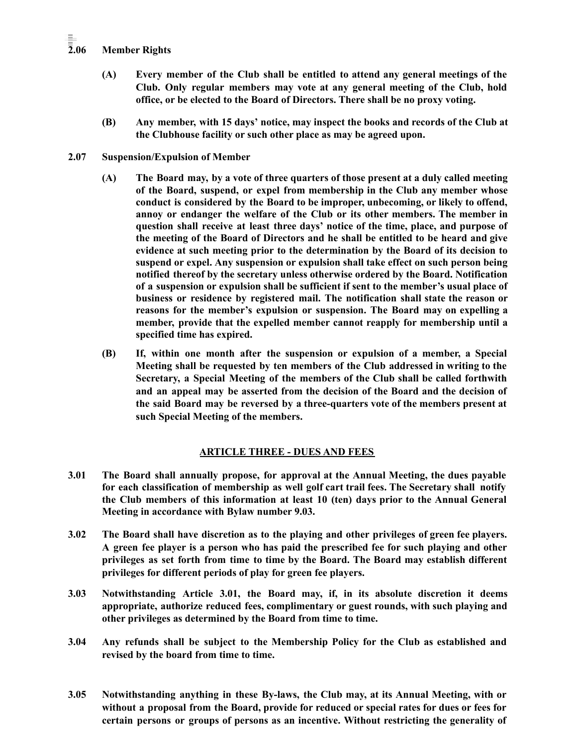# **2.06 Member Rights**

- **(A) Every member of the Club shall be entitled to attend any general meetings of the Club. Only regular members may vote at any general meeting of the Club, hold office, or be elected to the Board of Directors. There shall be no proxy voting.**
- **(B) Any member, with 15 days' notice, may inspect the books and records of the Club at the Clubhouse facility or such other place as may be agreed upon.**
- **2.07 Suspension/Expulsion of Member**
	- **(A) The Board may, by a vote of three quarters of those present at a duly called meeting of the Board, suspend, or expel from membership in the Club any member whose conduct is considered by the Board to be improper, unbecoming, or likely to offend, annoy or endanger the welfare of the Club or its other members. The member in question shall receive at least three days' notice of the time, place, and purpose of the meeting of the Board of Directors and he shall be entitled to be heard and give evidence at such meeting prior to the determination by the Board of its decision to suspend or expel. Any suspension or expulsion shall take effect on such person being notified thereof by the secretary unless otherwise ordered by the Board. Notification of a suspension or expulsion shall be sufficient if sent to the member's usual place of business or residence by registered mail. The notification shall state the reason or reasons for the member's expulsion or suspension. The Board may on expelling a member, provide that the expelled member cannot reapply for membership until a specified time has expired.**
	- **(B) If, within one month after the suspension or expulsion of a member, a Special Meeting shall be requested by ten members of the Club addressed in writing to the Secretary, a Special Meeting of the members of the Club shall be called forthwith and an appeal may be asserted from the decision of the Board and the decision of the said Board may be reversed by a three-quarters vote of the members present at such Special Meeting of the members.**

# **ARTICLE THREE - DUES AND FEES**

- **3.01 The Board shall annually propose, for approval at the Annual Meeting, the dues payable for each classification of membership as well golf cart trail fees. The Secretary shall notify the Club members of this information at least 10 (ten) days prior to the Annual General Meeting in accordance with Bylaw number 9.03.**
- **3.02 The Board shall have discretion as to the playing and other privileges of green fee players. A green fee player is a person who has paid the prescribed fee for such playing and other privileges as set forth from time to time by the Board. The Board may establish different privileges for different periods of play for green fee players.**
- **3.03 Notwithstanding Article 3.01, the Board may, if, in its absolute discretion it deems appropriate, authorize reduced fees, complimentary or guest rounds, with such playing and other privileges as determined by the Board from time to time.**
- **3.04 Any refunds shall be subject to the Membership Policy for the Club as established and revised by the board from time to time.**
- **3.05 Notwithstanding anything in these By-laws, the Club may, at its Annual Meeting, with or without a proposal from the Board, provide for reduced or special rates for dues or fees for certain persons or groups of persons as an incentive. Without restricting the generality of**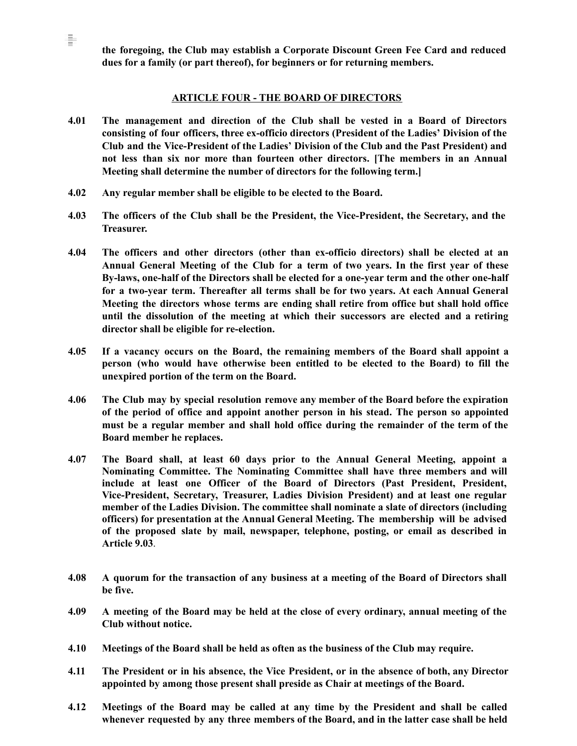**the foregoing, the Club may establish a Corporate Discount Green Fee Card and reduced dues for a family (or part thereof), for beginners or for returning members.**

### **ARTICLE FOUR - THE BOARD OF DIRECTORS**

- **4.01 The management and direction of the Club shall be vested in a Board of Directors consisting of four officers, three ex-officio directors (President of the Ladies' Division of the Club and the Vice-President of the Ladies' Division of the Club and the Past President) and not less than six nor more than fourteen other directors. [The members in an Annual Meeting shall determine the number of directors for the following term.]**
- **4.02 Any regular member shall be eligible to be elected to the Board.**

ŧ

- **4.03 The officers of the Club shall be the President, the Vice-President, the Secretary, and the Treasurer.**
- **4.04 The officers and other directors (other than ex-officio directors) shall be elected at an Annual General Meeting of the Club for a term of two years. In the first year of these By-laws, one-half of the Directors shall be elected for a one-year term and the other one-half for a two-year term. Thereafter all terms shall be for two years. At each Annual General Meeting the directors whose terms are ending shall retire from office but shall hold office until the dissolution of the meeting at which their successors are elected and a retiring director shall be eligible for re-election.**
- **4.05 If a vacancy occurs on the Board, the remaining members of the Board shall appoint a person (who would have otherwise been entitled to be elected to the Board) to fill the unexpired portion of the term on the Board.**
- **4.06 The Club may by special resolution remove any member of the Board before the expiration of the period of office and appoint another person in his stead. The person so appointed must be a regular member and shall hold office during the remainder of the term of the Board member he replaces.**
- **4.07 The Board shall, at least 60 days prior to the Annual General Meeting, appoint a Nominating Committee. The Nominating Committee shall have three members and will include at least one Officer of the Board of Directors (Past President, President, Vice-President, Secretary, Treasurer, Ladies Division President) and at least one regular member of the Ladies Division. The committee shall nominate a slate of directors (including officers) for presentation at the Annual General Meeting. The membership will be advised of the proposed slate by mail, newspaper, telephone, posting, or email as described in Article 9.03**.
- **4.08 A quorum for the transaction of any business at a meeting of the Board of Directors shall be five.**
- 4.09 A meeting of the Board may be held at the close of every ordinary, annual meeting of the **Club without notice.**
- **4.10 Meetings of the Board shall be held as often as the business of the Club may require.**
- **4.11 The President or in his absence, the Vice President, or in the absence of both, any Director appointed by among those present shall preside as Chair at meetings of the Board.**
- **4.12 Meetings of the Board may be called at any time by the President and shall be called whenever requested by any three members of the Board, and in the latter case shall be held**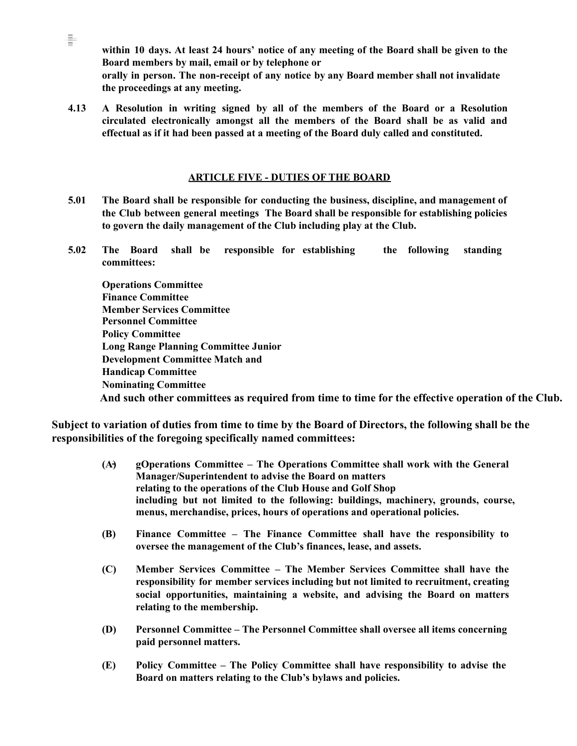**within 10 days. At least 24 hours' notice of any meeting of the Board shall be given to the Board members by mail, email or by telephone or orally in person. The non-receipt of any notice by any Board member shall not invalidate the proceedings at any meeting.**

**4.13 A Resolution in writing signed by all of the members of the Board or a Resolution circulated electronically amongst all the members of the Board shall be as valid and effectual as if it had been passed at a meeting of the Board duly called and constituted.**

÷.

### **ARTICLE FIVE - DUTIES OF THE BOARD**

- **5.01 The Board shall be responsible for conducting the business, discipline, and management of the Club between general meetings The Board shall be responsible for establishing policies to govern the daily management of the Club including play at the Club.**
- **5.02 The Board shall be responsible for establishing the following standing committees:**

**Operations Committee Finance Committee Member Services Committee Personnel Committee Policy Committee Long Range Planning Committee Junior Development Committee Match and Handicap Committee Nominating Committee And such other committees as required from time to time for the effective operation of the Club.**

**Subject to variation of duties from time to time by the Board of Directors, the following shall be the responsibilities of the foregoing specifically named committees:**

- **(A) gOperations Committee – The Operations Committee shall work with the General Manager/Superintendent to advise the Board on matters relating to the operations of the Club House and Golf Shop including but not limited to the following: buildings, machinery, grounds, course, menus, merchandise, prices, hours of operations and operational policies.**
- **(B) Finance Committee – The Finance Committee shall have the responsibility to oversee the management of the Club's finances, lease, and assets.**
- **(C) Member Services Committee – The Member Services Committee shall have the responsibility for member services including but not limited to recruitment, creating social opportunities, maintaining a website, and advising the Board on matters relating to the membership.**
- **(D) Personnel Committee – The Personnel Committee shall oversee all items concerning paid personnel matters.**
- **(E) Policy Committee – The Policy Committee shall have responsibility to advise the Board on matters relating to the Club's bylaws and policies.**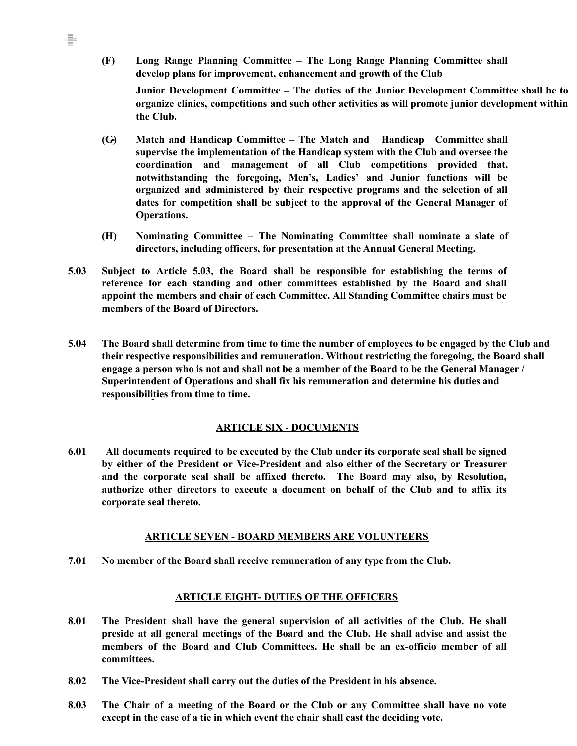**(F) Long Range Planning Committee – The Long Range Planning Committee shall develop plans for improvement, enhancement and growth of the Club**

÷.

**Junior Development Committee – The duties of the Junior Development Committee shall be to organize clinics, competitions and such other activities as will promote junior development within the Club.**

- **(G) Match and Handicap Committee – The Match and Handicap Committee shall supervise the implementation of the Handicap system with the Club and oversee the coordination and management of all Club competitions provided that, notwithstanding the foregoing, Men's, Ladies' and Junior functions will be organized and administered by their respective programs and the selection of all dates for competition shall be subject to the approval of the General Manager of Operations.**
- **(H) Nominating Committee – The Nominating Committee shall nominate a slate of directors, including officers, for presentation at the Annual General Meeting.**
- **5.03 Subject to Article 5.03, the Board shall be responsible for establishing the terms of reference for each standing and other committees established by the Board and shall appoint the members and chair of each Committee. All Standing Committee chairs must be members of the Board of Directors.**
- 5.04 The Board shall determine from time to time the number of employees to be engaged by the Club and **their respective responsibilities and remuneration. Without restricting the foregoing, the Board shall** engage a person who is not and shall not be a member of the Board to be the General Manager / **Superintendent of Operations and shall fix his remuneration and determine his duties and responsibilities from time to time.**

# **ARTICLE SIX - DOCUMENTS**

**6.01 All documents required to be executed by the Club under its corporate seal shall be signed by either of the President or Vice-President and also either of the Secretary or Treasurer and the corporate seal shall be affixed thereto. The Board may also, by Resolution, authorize other directors to execute a document on behalf of the Club and to affix its corporate seal thereto.**

# **ARTICLE SEVEN - BOARD MEMBERS ARE VOLUNTEERS**

**7.01 No member of the Board shall receive remuneration of any type from the Club.**

# **ARTICLE EIGHT- DUTIES OF THE OFFICERS**

- **8.01 The President shall have the general supervision of all activities of the Club. He shall preside at all general meetings of the Board and the Club. He shall advise and assist the members of the Board and Club Committees. He shall be an ex-officio member of all committees.**
- **8.02 The Vice-President shall carry out the duties of the President in his absence.**
- **8.03 The Chair of a meeting of the Board or the Club or any Committee shall have no vote except in the case of a tie in which event the chair shall cast the deciding vote.**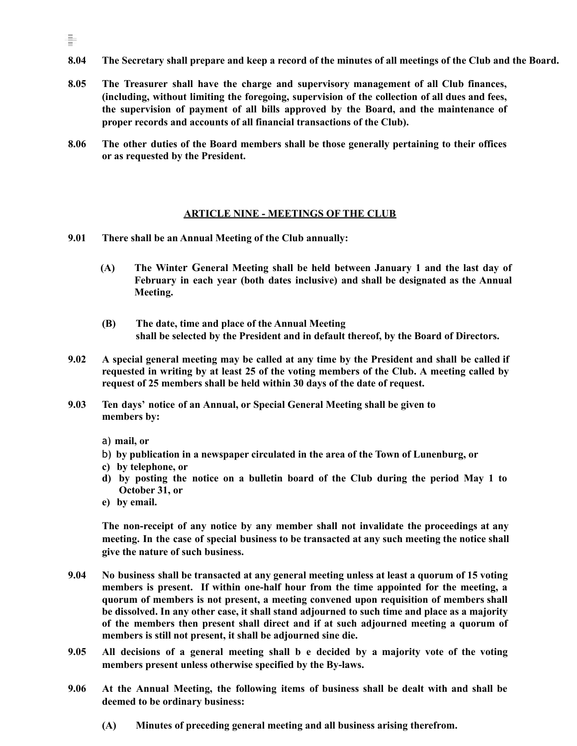- 8.04 The Secretary shall prepare and keep a record of the minutes of all meetings of the Club and the Board.
- **8.05 The Treasurer shall have the charge and supervisory management of all Club finances, (including, without limiting the foregoing, supervision of the collection of all dues and fees, the supervision of payment of all bills approved by the Board, and the maintenance of proper records and accounts of all financial transactions of the Club).**
- **8.06 The other duties of the Board members shall be those generally pertaining to their offices or as requested by the President.**

#### **ARTICLE NINE - MEETINGS OF THE CLUB**

- **9.01 There shall be an Annual Meeting of the Club annually:**
	- **(A) The Winter General Meeting shall be held between January 1 and the last day of February in each year (both dates inclusive) and shall be designated as the Annual Meeting.**
	- **(B) The date, time and place of the Annual Meeting shall be selected by the President and in default thereof, by the Board of Directors.**
- 9.02 A special general meeting may be called at any time by the President and shall be called if **requested in writing by at least 25 of the voting members of the Club. A meeting called by request of 25 members shall be held within 30 days of the date of request.**
- **9.03 Ten days' notice of an Annual, or Special General Meeting shall be given to members by:**

a) **mail, or**

을

- b) **by publication in a newspaper circulated in the area of the Town of Lunenburg, or**
- **c) by telephone, or**
- **d) by posting the notice on a bulletin board of the Club during the period May 1 to October 31, or**
- **e) by email.**

**The non-receipt of any notice by any member shall not invalidate the proceedings at any meeting. In the case of special business to be transacted at any such meeting the notice shall give the nature of such business.**

- **9.04 No business shall be transacted at any general meeting unless at least a quorum of 15 voting members is present. If within one-half hour from the time appointed for the meeting, a quorum of members is not present, a meeting convened upon requisition of members shall be dissolved. In any other case, it shall stand adjourned to such time and place as a majority of the members then present shall direct and if at such adjourned meeting a quorum of members is still not present, it shall be adjourned sine die.**
- **9.05 All decisions of a general meeting shall b e decided by a majority vote of the voting members present unless otherwise specified by the By-laws.**
- **9.06 At the Annual Meeting, the following items of business shall be dealt with and shall be deemed to be ordinary business:**
	- **(A) Minutes of preceding general meeting and all business arising therefrom.**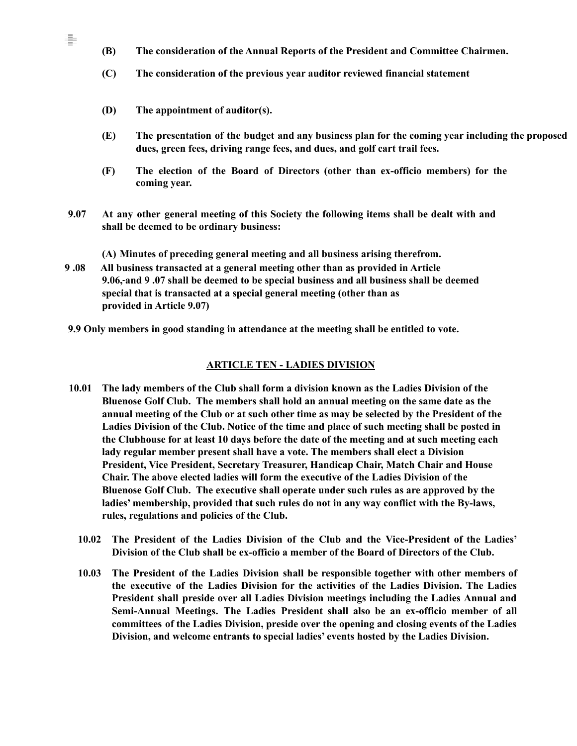- **(B) The consideration of the Annual Reports of the President and Committee Chairmen.**
- **(C) The consideration of the previous year auditor reviewed financial statement**
- **(D) The appointment of auditor(s).**

ŧ

- **(E) The presentation of the budget and any business plan for the coming year including the proposed dues, green fees, driving range fees, and dues, and golf cart trail fees.**
- **(F) The election of the Board of Directors (other than ex-officio members) for the coming year.**
- **9.07 At any other general meeting of this Society the following items shall be dealt with and shall be deemed to be ordinary business:**

**(A) Minutes of preceding general meeting and all business arising therefrom.**

- **9 .08 All business transacted at a general meeting other than as provided in Article 9.06, and 9 .07 shall be deemed to be special business and all business shall be deemed special that is transacted at a special general meeting (other than as provided in Article 9.07)**
- **9.9 Only members in good standing in attendance at the meeting shall be entitled to vote.**

#### **ARTICLE TEN - LADIES DIVISION**

- **10.01 The lady members of the Club shall form a division known as the Ladies Division of the Bluenose Golf Club. The members shall hold an annual meeting on the same date as the annual meeting of the Club or at such other time as may be selected by the President of the Ladies Division of the Club. Notice of the time and place of such meeting shall be posted in the Clubhouse for at least 10 days before the date of the meeting and at such meeting each lady regular member present shall have a vote. The members shall elect a Division President, Vice President, Secretary Treasurer, Handicap Chair, Match Chair and House Chair. The above elected ladies will form the executive of the Ladies Division of the Bluenose Golf Club. The executive shall operate under such rules as are approved by the ladies' membership, provided that such rules do not in any way conflict with the By-laws, rules, regulations and policies of the Club.**
	- **10.02 The President of the Ladies Division of the Club and the Vice-President of the Ladies' Division of the Club shall be ex-officio a member of the Board of Directors of the Club.**
	- **10.03 The President of the Ladies Division shall be responsible together with other members of the executive of the Ladies Division for the activities of the Ladies Division. The Ladies President shall preside over all Ladies Division meetings including the Ladies Annual and Semi-Annual Meetings. The Ladies President shall also be an ex-officio member of all committees of the Ladies Division, preside over the opening and closing events of the Ladies Division, and welcome entrants to special ladies' events hosted by the Ladies Division.**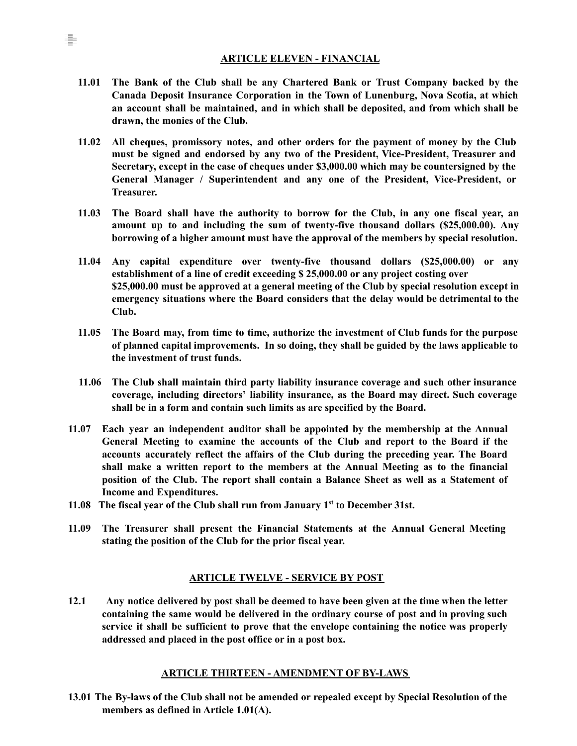#### **ARTICLE ELEVEN - FINANCIAL**

- **11.01 The Bank of the Club shall be any Chartered Bank or Trust Company backed by the Canada Deposit Insurance Corporation in the Town of Lunenburg, Nova Scotia, at which an account shall be maintained, and in which shall be deposited, and from which shall be drawn, the monies of the Club.**
- **11.02 All cheques, promissory notes, and other orders for the payment of money by the Club must be signed and endorsed by any two of the President, Vice-President, Treasurer and Secretary, except in the case of cheques under \$3,000.00 which may be countersigned by the General Manager / Superintendent and any one of the President, Vice-President, or Treasurer.**
- **11.03 The Board shall have the authority to borrow for the Club, in any one fiscal year, an amount up to and including the sum of twenty-five thousand dollars (\$25,000.00). Any borrowing of a higher amount must have the approval of the members by special resolution.**
- **11.04 Any capital expenditure over twenty-five thousand dollars (\$25,000.00) or any establishment of a line of credit exceeding \$ 25,000.00 or any project costing over \$25,000.00 must be approved at a general meeting of the Club by special resolution except in emergency situations where the Board considers that the delay would be detrimental to the Club.**
- **11.05 The Board may, from time to time, authorize the investment of Club funds for the purpose of planned capital improvements. In so doing, they shall be guided by the laws applicable to the investment of trust funds.**
- **11.06 The Club shall maintain third party liability insurance coverage and such other insurance coverage, including directors' liability insurance, as the Board may direct. Such coverage shall be in a form and contain such limits as are specified by the Board.**
- **11.07 Each year an independent auditor shall be appointed by the membership at the Annual General Meeting to examine the accounts of the Club and report to the Board if the accounts accurately reflect the affairs of the Club during the preceding year. The Board shall make a written report to the members at the Annual Meeting as to the financial position of the Club. The report shall contain a Balance Sheet as well as a Statement of Income and Expenditures.**
- **11.08 The fiscal year of the Club shall run from January 1 st to December 31st.**
- **11.09 The Treasurer shall present the Financial Statements at the Annual General Meeting stating the position of the Club for the prior fiscal year.**

# **ARTICLE TWELVE - SERVICE BY POST**

12.1 Any notice delivered by post shall be deemed to have been given at the time when the letter **containing the same would be delivered in the ordinary course of post and in proving such service it shall be sufficient to prove that the envelope containing the notice was properly addressed and placed in the post office or in a post box.**

# **ARTICLE THIRTEEN - AMENDMENT OF BY-LAWS**

**13.01 The By-laws of the Club shall not be amended or repealed except by Special Resolution of the members as defined in Article 1.01(A).**